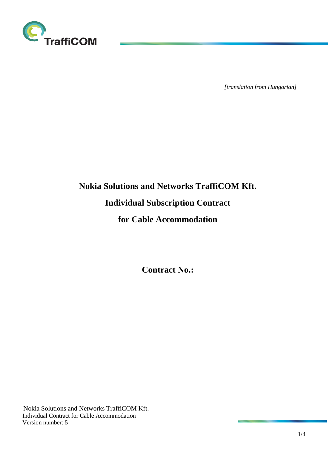

*[translation from Hungarian]*

# **Nokia Solutions and Networks TraffiCOM Kft. Individual Subscription Contract for Cable Accommodation**

**Contract No.:**

Nokia Solutions and Networks TraffiCOM Kft. Individual Contract for Cable Accommodation Version number: 5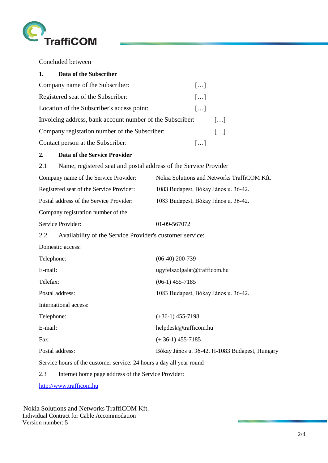

Concluded between

| 1.<br>Data of the Subscriber                              |                       |                       |
|-----------------------------------------------------------|-----------------------|-----------------------|
| Company name of the Subscriber:                           | $\left[\ldots\right]$ |                       |
| Registered seat of the Subscriber:                        | $\left[\ldots\right]$ |                       |
| Location of the Subscriber's access point:                | $\left[\ldots\right]$ |                       |
| Invoicing address, bank account number of the Subscriber: |                       | $\left[\ldots\right]$ |
| Company registation number of the Subscriber:             |                       | $\left[\ldots\right]$ |
| Contact person at the Subscriber:                         | $\left[\ldots\right]$ |                       |

## **2. Data of the Service Provider**

2.1 Name, registered seat and postal address of the Service Provider

| Company name of the Service Provider:    | Nokia Solutions and Networks TraffiCOM Kft. |
|------------------------------------------|---------------------------------------------|
| Registered seat of the Service Provider: | 1083 Budapest, Bókay János u. 36-42.        |
| Postal address of the Service Provider:  | 1083 Budapest, Bókay János u. 36-42.        |
| Company registration number of the       |                                             |
| Service Provider:                        | 01-09-567072                                |

2.2 Availability of the Service Provider's customer service:

Domestic access:

| Telephone:                                                           | $(06-40)$ 200-739                              |  |  |
|----------------------------------------------------------------------|------------------------------------------------|--|--|
| E-mail:                                                              | ugyfelszolgalat@trafficom.hu                   |  |  |
| Telefax:                                                             | $(06-1)$ 455-7185                              |  |  |
| Postal address:                                                      | 1083 Budapest, Bókay János u. 36-42.           |  |  |
| International access:                                                |                                                |  |  |
| Telephone:                                                           | $(+36-1)$ 455-7198                             |  |  |
| E-mail:                                                              | helpdesk@trafficom.hu                          |  |  |
| Fax:                                                                 | $(+36-1)$ 455-7185                             |  |  |
| Postal address:                                                      | Bókay János u. 36-42. H-1083 Budapest, Hungary |  |  |
| Service hours of the customer service: 24 hours a day all year round |                                                |  |  |

2.3 Internet home page address of the Service Provider:

[http://www.trafficom.hu](http://www.trafficom.hu/)

Nokia Solutions and Networks TraffiCOM Kft. Individual Contract for Cable Accommodation Version number: 5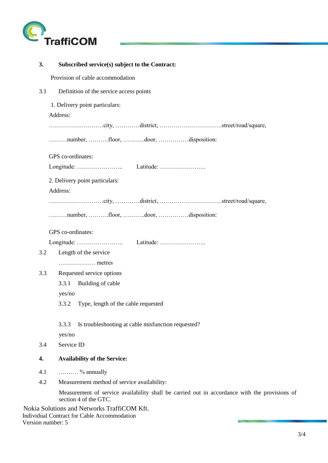

| 3.  | Subscribed service(s) subject to the Contract:                                                                         |
|-----|------------------------------------------------------------------------------------------------------------------------|
|     | Provision of cable accommodation                                                                                       |
| 3.1 | Definition of the service access points                                                                                |
|     | 1. Delivery point particulars:                                                                                         |
|     | Address:                                                                                                               |
|     |                                                                                                                        |
|     | number, floor, door, disposition:                                                                                      |
|     | GPS co-ordinates:                                                                                                      |
|     |                                                                                                                        |
|     | 2. Delivery point particulars:                                                                                         |
|     | Address:                                                                                                               |
|     |                                                                                                                        |
|     | number, floor, door, disposition:                                                                                      |
|     | GPS co-ordinates:                                                                                                      |
|     |                                                                                                                        |
| 3.2 | Length of the service                                                                                                  |
|     | metres                                                                                                                 |
| 3.3 | Requested service options                                                                                              |
|     | 3.3.1<br>Building of cable                                                                                             |
|     | yes/no                                                                                                                 |
|     | 3.3.2 Type, length of the cable requested                                                                              |
|     | 3.3.3<br>Is troubleshooting at cable misfunction requested?                                                            |
|     | yes/no                                                                                                                 |
| 3.4 | Service ID                                                                                                             |
| 4.  | <b>Availability of the Service:</b>                                                                                    |
| 4.1 | $\ldots$ % annually                                                                                                    |
| 4.2 | Measurement method of service availability:                                                                            |
|     | Measurement of service availability shall be carried out in accordance with the provisions of<br>section 4 of the GTC. |
|     | Nokia Solutions and Networks TraffiCOM Kft.<br>Individual Contract for Cable Accommodation                             |

Version number: 5